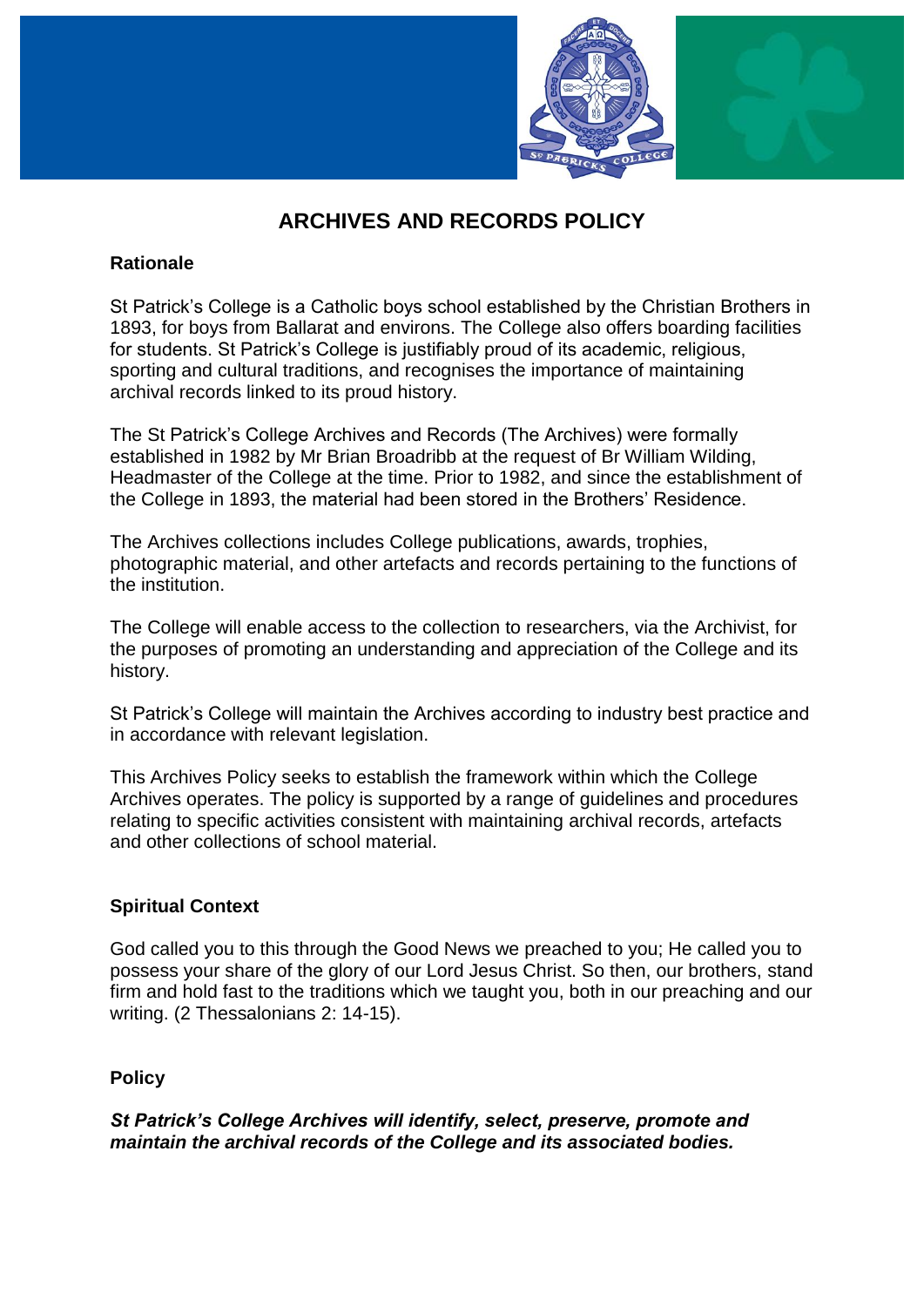

# **ARCHIVES AND RECORDS POLICY**

# **Rationale**

St Patrick's College is a Catholic boys school established by the Christian Brothers in 1893, for boys from Ballarat and environs. The College also offers boarding facilities for students. St Patrick's College is justifiably proud of its academic, religious, sporting and cultural traditions, and recognises the importance of maintaining archival records linked to its proud history.

The St Patrick's College Archives and Records (The Archives) were formally established in 1982 by Mr Brian Broadribb at the request of Br William Wilding, Headmaster of the College at the time. Prior to 1982, and since the establishment of the College in 1893, the material had been stored in the Brothers' Residence.

The Archives collections includes College publications, awards, trophies, photographic material, and other artefacts and records pertaining to the functions of the institution.

The College will enable access to the collection to researchers, via the Archivist, for the purposes of promoting an understanding and appreciation of the College and its history.

St Patrick's College will maintain the Archives according to industry best practice and in accordance with relevant legislation.

This Archives Policy seeks to establish the framework within which the College Archives operates. The policy is supported by a range of guidelines and procedures relating to specific activities consistent with maintaining archival records, artefacts and other collections of school material.

# **Spiritual Context**

God called you to this through the Good News we preached to you; He called you to possess your share of the glory of our Lord Jesus Christ. So then, our brothers, stand firm and hold fast to the traditions which we taught you, both in our preaching and our writing. (2 Thessalonians 2: 14-15).

#### **Policy**

*St Patrick's College Archives will identify, select, preserve, promote and maintain the archival records of the College and its associated bodies.*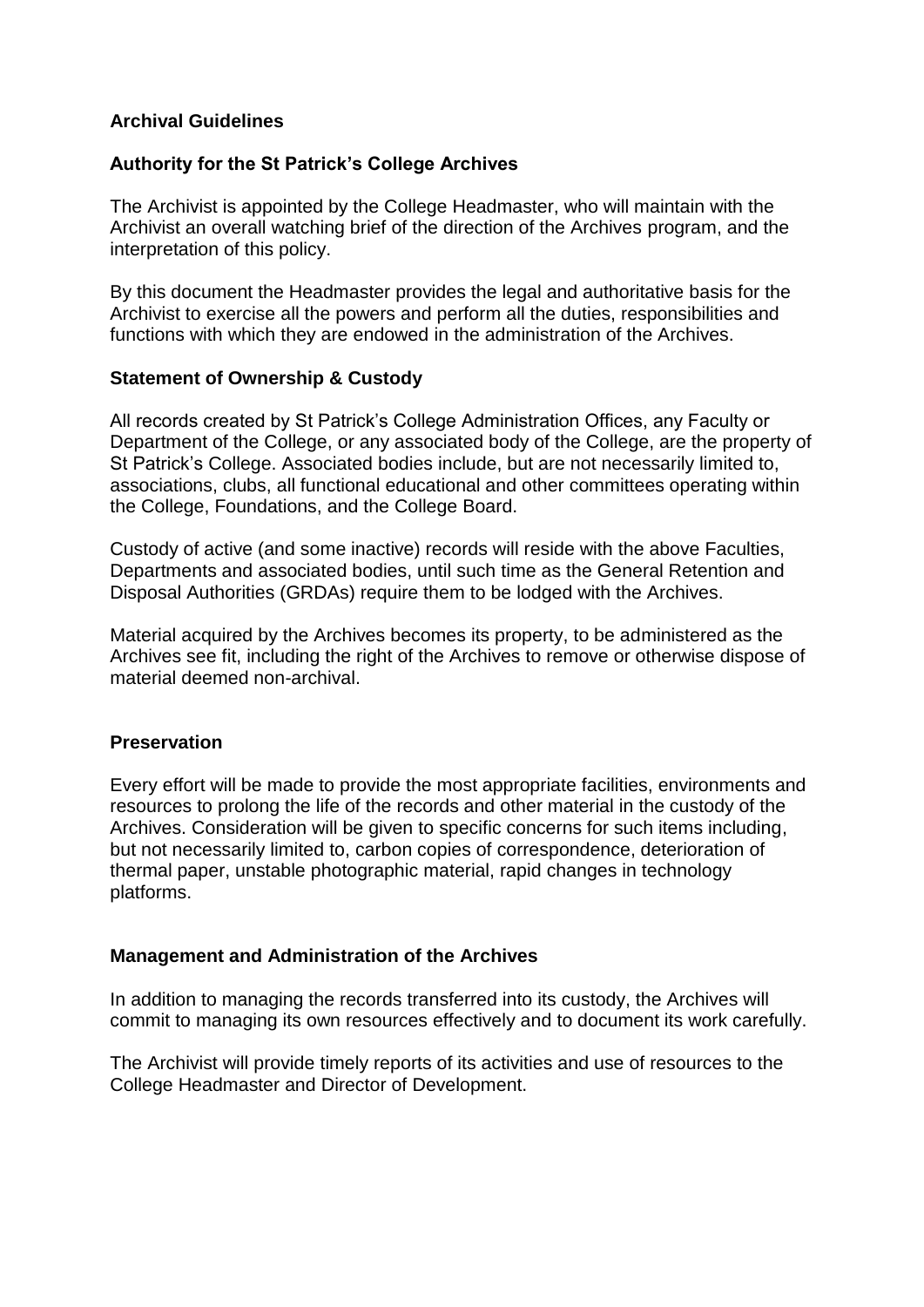## **Archival Guidelines**

## **Authority for the St Patrick's College Archives**

The Archivist is appointed by the College Headmaster, who will maintain with the Archivist an overall watching brief of the direction of the Archives program, and the interpretation of this policy.

By this document the Headmaster provides the legal and authoritative basis for the Archivist to exercise all the powers and perform all the duties, responsibilities and functions with which they are endowed in the administration of the Archives.

## **Statement of Ownership & Custody**

All records created by St Patrick's College Administration Offices, any Faculty or Department of the College, or any associated body of the College, are the property of St Patrick's College. Associated bodies include, but are not necessarily limited to, associations, clubs, all functional educational and other committees operating within the College, Foundations, and the College Board.

Custody of active (and some inactive) records will reside with the above Faculties, Departments and associated bodies, until such time as the General Retention and Disposal Authorities (GRDAs) require them to be lodged with the Archives.

Material acquired by the Archives becomes its property, to be administered as the Archives see fit, including the right of the Archives to remove or otherwise dispose of material deemed non-archival.

#### **Preservation**

Every effort will be made to provide the most appropriate facilities, environments and resources to prolong the life of the records and other material in the custody of the Archives. Consideration will be given to specific concerns for such items including, but not necessarily limited to, carbon copies of correspondence, deterioration of thermal paper, unstable photographic material, rapid changes in technology platforms.

#### **Management and Administration of the Archives**

In addition to managing the records transferred into its custody, the Archives will commit to managing its own resources effectively and to document its work carefully.

The Archivist will provide timely reports of its activities and use of resources to the College Headmaster and Director of Development.